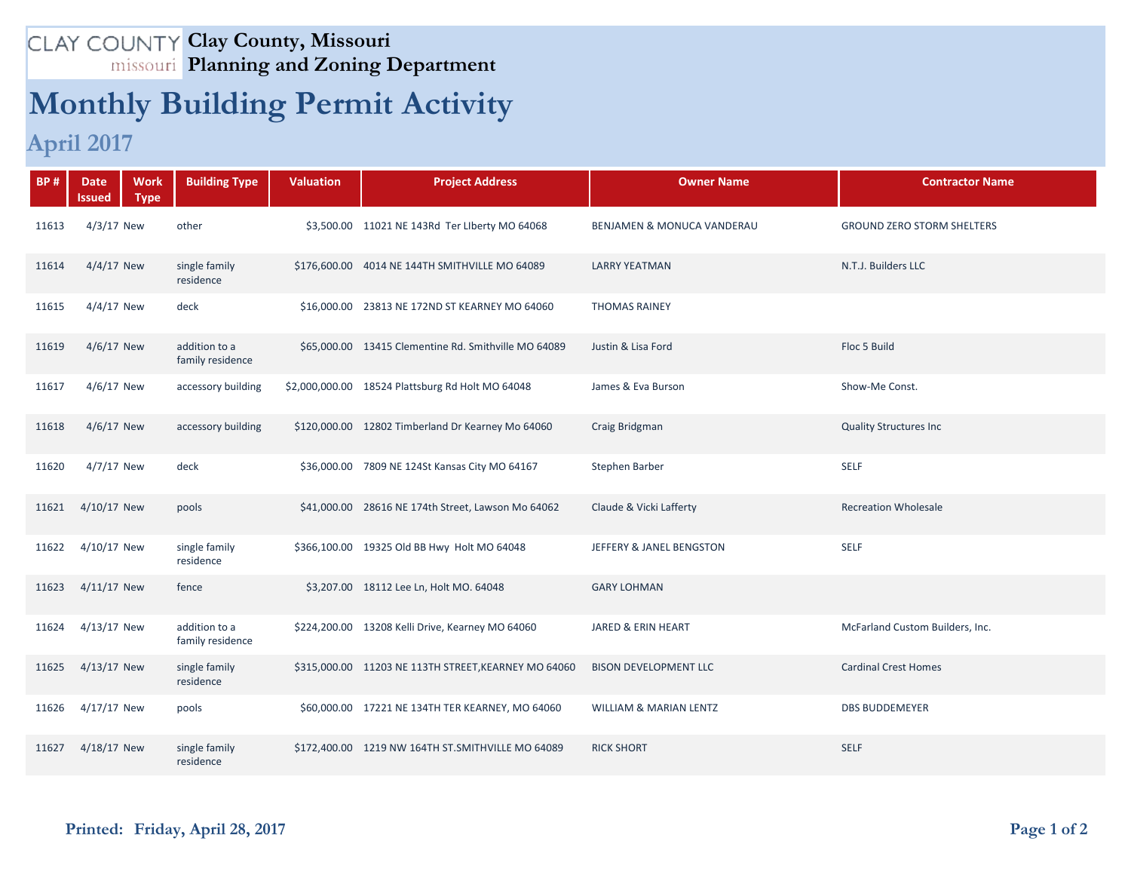## **Clay County, Missouri Planning and Zoning Department**

## **Monthly Building Permit Activity**

## **April 2017**

| <b>BP#</b> | <b>Date</b><br>Issued | <b>Work</b><br><b>Type</b> | <b>Building Type</b>              | <b>Valuation</b> | <b>Project Address</b>                               | <b>Owner Name</b>                     | <b>Contractor Name</b>            |
|------------|-----------------------|----------------------------|-----------------------------------|------------------|------------------------------------------------------|---------------------------------------|-----------------------------------|
| 11613      | $4/3/17$ New          |                            | other                             |                  | \$3,500.00 11021 NE 143Rd Ter Liberty MO 64068       | <b>BENJAMEN &amp; MONUCA VANDERAU</b> | <b>GROUND ZERO STORM SHELTERS</b> |
| 11614      | $4/4/17$ New          |                            | single family<br>residence        |                  | \$176,600.00 4014 NE 144TH SMITHVILLE MO 64089       | <b>LARRY YEATMAN</b>                  | N.T.J. Builders LLC               |
| 11615      | $4/4/17$ New          |                            | deck                              |                  | \$16,000.00 23813 NE 172ND ST KEARNEY MO 64060       | <b>THOMAS RAINEY</b>                  |                                   |
| 11619      | 4/6/17 New            |                            | addition to a<br>family residence |                  | \$65,000.00 13415 Clementine Rd. Smithville MO 64089 | Justin & Lisa Ford                    | Floc 5 Build                      |
| 11617      | 4/6/17 New            |                            | accessory building                |                  | \$2,000,000.00 18524 Plattsburg Rd Holt MO 64048     | James & Eva Burson                    | Show-Me Const.                    |
| 11618      | 4/6/17 New            |                            | accessory building                |                  | \$120,000.00 12802 Timberland Dr Kearney Mo 64060    | Craig Bridgman                        | <b>Quality Structures Inc</b>     |
| 11620      | 4/7/17 New            |                            | deck                              |                  | \$36,000.00 7809 NE 124St Kansas City MO 64167       | Stephen Barber                        | <b>SELF</b>                       |
| 11621      | 4/10/17 New           |                            | pools                             |                  | \$41,000.00 28616 NE 174th Street, Lawson Mo 64062   | Claude & Vicki Lafferty               | <b>Recreation Wholesale</b>       |
| 11622      | 4/10/17 New           |                            | single family<br>residence        |                  | \$366,100.00 19325 Old BB Hwy Holt MO 64048          | JEFFERY & JANEL BENGSTON              | <b>SELF</b>                       |
| 11623      | $4/11/17$ New         |                            | fence                             |                  | \$3,207.00 18112 Lee Ln, Holt MO. 64048              | <b>GARY LOHMAN</b>                    |                                   |
| 11624      | 4/13/17 New           |                            | addition to a<br>family residence |                  | \$224,200.00 13208 Kelli Drive, Kearney MO 64060     | JARED & ERIN HEART                    | McFarland Custom Builders, Inc.   |
| 11625      | 4/13/17 New           |                            | single family<br>residence        |                  | \$315,000.00 11203 NE 113TH STREET, KEARNEY MO 64060 | <b>BISON DEVELOPMENT LLC</b>          | <b>Cardinal Crest Homes</b>       |
| 11626      | 4/17/17 New           |                            | pools                             |                  | \$60,000.00 17221 NE 134TH TER KEARNEY, MO 64060     | <b>WILLIAM &amp; MARIAN LENTZ</b>     | <b>DBS BUDDEMEYER</b>             |
| 11627      | 4/18/17 New           |                            | single family<br>residence        |                  | \$172,400.00 1219 NW 164TH ST.SMITHVILLE MO 64089    | <b>RICK SHORT</b>                     | <b>SELF</b>                       |